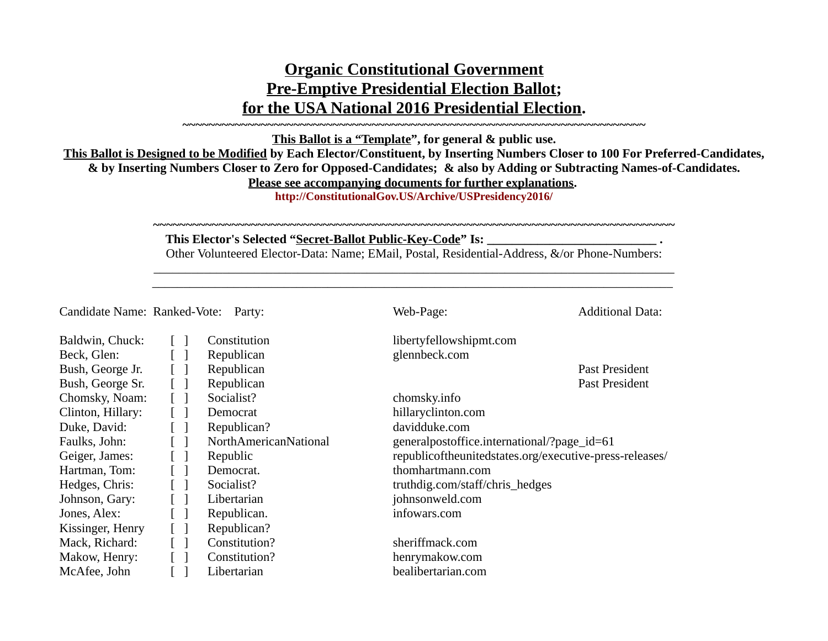## **Organic Constitutional Government Pre-Emptive Presidential Election Ballot; for the USA National 2016 Presidential Election.**

**This Ballot is a "Template", for general & public use.**

**~~~~~~~~~~~~~~~~~~~~~~~~~~~~~~~~~~~~~~~~~~~~~~~~~~~~~~~~~~~~~~~~~~~~~~~**

**This Ballot is Designed to be Modified by Each Elector/Constituent, by Inserting Numbers Closer to 100 For Preferred-Candidates, & by Inserting Numbers Closer to Zero for Opposed-Candidates; & also by Adding or Subtracting Names-of-Candidates. Please see accompanying documents for further explanations.** 

**http://ConstitutionalGov.US/Archive/USPresidency2016/**

**~~~~~~~~~~~~~~~~~~~~~~~~~~~~~~~~~~~~~~~~~~~~~~~~~~~~~~~~~~~~~~~~~~~~~~~~~~~~~~~~**

## This Elector's Selected "Secret-Ballot Public-Key-Code" Is: \_\_\_\_\_\_\_\_\_\_\_\_\_\_\_\_\_\_\_\_\_\_\_\_\_\_\_\_\_\_\_\_.

Other Volunteered Elector-Data: Name; EMail, Postal, Residential-Address, &/or Phone-Numbers:  $\_$  , and the set of the set of the set of the set of the set of the set of the set of the set of the set of the set of the set of the set of the set of the set of the set of the set of the set of the set of the set of th

\_\_\_\_\_\_\_\_\_\_\_\_\_\_\_\_\_\_\_\_\_\_\_\_\_\_\_\_\_\_\_\_\_\_\_\_\_\_\_\_\_\_\_\_\_\_\_\_\_\_\_\_\_\_\_\_\_\_\_\_\_\_\_\_\_\_\_\_\_\_\_\_\_\_\_\_\_\_\_\_\_\_\_

Candidate Name: Ranked-Vote: Party: Web-Page: Web-Page: Additional Data:

| Baldwin, Chuck:   | Constitution          | libertyfellowshipmt.com                                 |
|-------------------|-----------------------|---------------------------------------------------------|
|                   |                       |                                                         |
| Beck, Glen:       | Republican            | glennbeck.com                                           |
| Bush, George Jr.  | Republican            | Past President                                          |
| Bush, George Sr.  | Republican            | Past President                                          |
| Chomsky, Noam:    | Socialist?            | chomsky.info                                            |
| Clinton, Hillary: | Democrat              | hillaryclinton.com                                      |
| Duke, David:      | Republican?           | davidduke.com                                           |
| Faulks, John:     | NorthAmericanNational | generalpostoffice.international/?page_id=61             |
| Geiger, James:    | Republic              | republicoftheunitedstates.org/executive-press-releases/ |
| Hartman, Tom:     | Democrat.             | thomhartmann.com                                        |
| Hedges, Chris:    | Socialist?            | truthdig.com/staff/chris_hedges                         |
| Johnson, Gary:    | Libertarian           | johnsonweld.com                                         |
| Jones, Alex:      | Republican.           | infowars.com                                            |
| Kissinger, Henry  | Republican?           |                                                         |
| Mack, Richard:    | Constitution?         | sheriffmack.com                                         |
| Makow, Henry:     | Constitution?         | henrymakow.com                                          |
| McAfee, John      | Libertarian           | bealibertarian.com                                      |